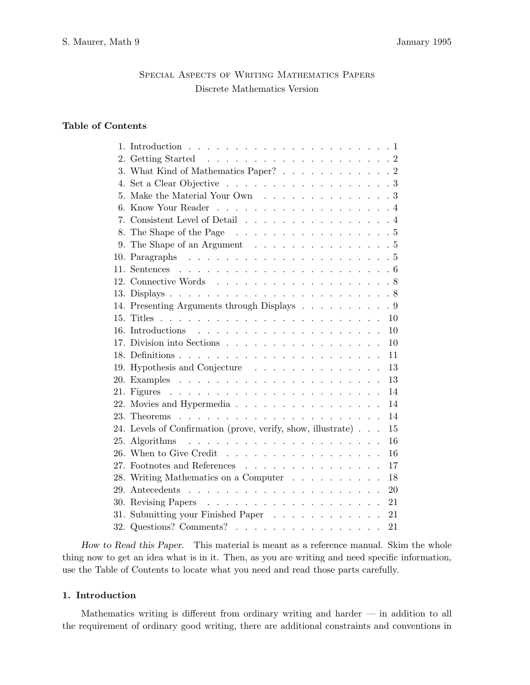# Special Aspects of Writing Mathematics Papers Discrete Mathematics Version

# **Table of Contents**

| 1.  |                                                                                        |           |
|-----|----------------------------------------------------------------------------------------|-----------|
| 2.  |                                                                                        |           |
|     | 3. What Kind of Mathematics Paper? 2                                                   |           |
| 4.  | Set a Clear Objective                                                                  | $\cdot$ 3 |
| 5.  | Make the Material Your Own $\dots \dots \dots \dots \dots \dots$                       |           |
| 6.  |                                                                                        | $\cdot$ 4 |
|     | 7. Consistent Level of Detail                                                          | $\cdot$ 4 |
| 8.  | The Shape of the Page $\ldots \ldots \ldots \ldots \ldots \ldots \ldots 5$             |           |
| 9.  | The Shape of an Argument                                                               | . 5       |
|     |                                                                                        | . 5       |
| 11. |                                                                                        |           |
| 12. | Connective Words 8                                                                     |           |
|     |                                                                                        |           |
|     | 14. Presenting Arguments through Displays                                              | . 9       |
| 15. |                                                                                        | 10        |
|     |                                                                                        | 10        |
|     | 17. Division into Sections                                                             | 10        |
|     |                                                                                        | 11        |
|     | 19. Hypothesis and Conjecture                                                          | 13        |
|     |                                                                                        | 13        |
|     |                                                                                        | 14        |
|     | 22. Movies and Hypermedia                                                              | 14        |
| 23. |                                                                                        | 14        |
|     | 24. Levels of Confirmation (prove, verify, show, illustrate)                           | 15        |
|     | 25. Algorithms $\ldots \ldots \ldots \ldots \ldots \ldots$                             | 16        |
|     | 26. When to Give Credit $\ldots$ $\ldots$ $\ldots$ $\ldots$ $\ldots$ $\ldots$ $\ldots$ | 16        |
|     | 27. Footnotes and References                                                           | 17        |
|     | 28. Writing Mathematics on a Computer                                                  | 18        |
|     | 29. Antecedents $\ldots$ $\ldots$ $\ldots$ $\ldots$ $\ldots$ $\ldots$ $\ldots$         | 20        |
|     |                                                                                        | 21        |
| 31. | Submitting your Finished Paper                                                         | 21        |
|     | 32. Questions? Comments?                                                               | 21        |
|     |                                                                                        |           |

*How to Read this Paper*. This material is meant as a reference manual. Skim the whole thing now to get an idea what is in it. Then, as you are writing and need specific information, use the Table of Contents to locate what you need and read those parts carefully.

# **1. Introduction**

Mathematics writing is different from ordinary writing and harder — in addition to all the requirement of ordinary good writing, there are additional constraints and conventions in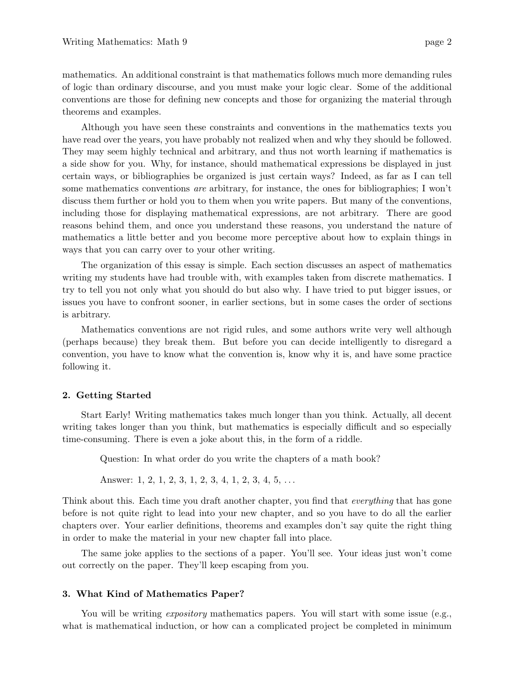mathematics. An additional constraint is that mathematics follows much more demanding rules of logic than ordinary discourse, and you must make your logic clear. Some of the additional conventions are those for defining new concepts and those for organizing the material through theorems and examples.

Although you have seen these constraints and conventions in the mathematics texts you have read over the years, you have probably not realized when and why they should be followed. They may seem highly technical and arbitrary, and thus not worth learning if mathematics is a side show for you. Why, for instance, should mathematical expressions be displayed in just certain ways, or bibliographies be organized is just certain ways? Indeed, as far as I can tell some mathematics conventions are arbitrary, for instance, the ones for bibliographies; I won't discuss them further or hold you to them when you write papers. But many of the conventions, including those for displaying mathematical expressions, are not arbitrary. There are good reasons behind them, and once you understand these reasons, you understand the nature of mathematics a little better and you become more perceptive about how to explain things in ways that you can carry over to your other writing.

The organization of this essay is simple. Each section discusses an aspect of mathematics writing my students have had trouble with, with examples taken from discrete mathematics. I try to tell you not only what you should do but also why. I have tried to put bigger issues, or issues you have to confront sooner, in earlier sections, but in some cases the order of sections is arbitrary.

Mathematics conventions are not rigid rules, and some authors write very well although (perhaps because) they break them. But before you can decide intelligently to disregard a convention, you have to know what the convention is, know why it is, and have some practice following it.

# **2. Getting Started**

Start Early! Writing mathematics takes much longer than you think. Actually, all decent writing takes longer than you think, but mathematics is especially difficult and so especially time-consuming. There is even a joke about this, in the form of a riddle.

Question: In what order do you write the chapters of a math book?

Answer: 1, 2, 1, 2, 3, 1, 2, 3, 4, 1, 2, 3, 4, 5, *...*

Think about this. Each time you draft another chapter, you find that *everything* that has gone before is not quite right to lead into your new chapter, and so you have to do all the earlier chapters over. Your earlier definitions, theorems and examples don't say quite the right thing in order to make the material in your new chapter fall into place.

The same joke applies to the sections of a paper. You'll see. Your ideas just won't come out correctly on the paper. They'll keep escaping from you.

# **3. What Kind of Mathematics Paper?**

You will be writing *expository* mathematics papers. You will start with some issue (e.g., what is mathematical induction, or how can a complicated project be completed in minimum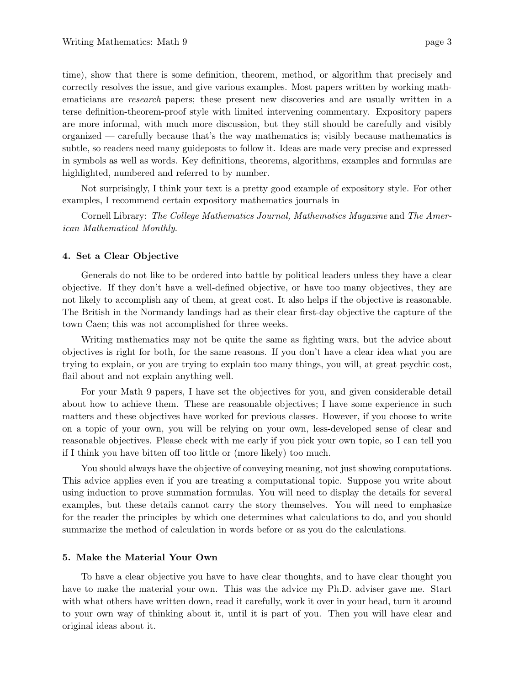time), show that there is some definition, theorem, method, or algorithm that precisely and correctly resolves the issue, and give various examples. Most papers written by working mathematicians are research papers; these present new discoveries and are usually written in a terse definition-theorem-proof style with limited intervening commentary. Expository papers are more informal, with much more discussion, but they still should be carefully and visibly organized — carefully because that's the way mathematics is; visibly because mathematics is subtle, so readers need many guideposts to follow it. Ideas are made very precise and expressed in symbols as well as words. Key definitions, theorems, algorithms, examples and formulas are highlighted, numbered and referred to by number.

Not surprisingly, I think your text is a pretty good example of expository style. For other examples, I recommend certain expository mathematics journals in

Cornell Library: The College Mathematics Journal, Mathematics Magazine and The American Mathematical Monthly.

## **4. Set a Clear Objective**

Generals do not like to be ordered into battle by political leaders unless they have a clear objective. If they don't have a well-defined objective, or have too many objectives, they are not likely to accomplish any of them, at great cost. It also helps if the objective is reasonable. The British in the Normandy landings had as their clear first-day objective the capture of the town Caen; this was not accomplished for three weeks.

Writing mathematics may not be quite the same as fighting wars, but the advice about objectives is right for both, for the same reasons. If you don't have a clear idea what you are trying to explain, or you are trying to explain too many things, you will, at great psychic cost, flail about and not explain anything well.

For your Math 9 papers, I have set the objectives for you, and given considerable detail about how to achieve them. These are reasonable objectives; I have some experience in such matters and these objectives have worked for previous classes. However, if you choose to write on a topic of your own, you will be relying on your own, less-developed sense of clear and reasonable objectives. Please check with me early if you pick your own topic, so I can tell you if I think you have bitten off too little or (more likely) too much.

You should always have the objective of conveying meaning, not just showing computations. This advice applies even if you are treating a computational topic. Suppose you write about using induction to prove summation formulas. You will need to display the details for several examples, but these details cannot carry the story themselves. You will need to emphasize for the reader the principles by which one determines what calculations to do, and you should summarize the method of calculation in words before or as you do the calculations.

## **5. Make the Material Your Own**

To have a clear objective you have to have clear thoughts, and to have clear thought you have to make the material your own. This was the advice my Ph.D. adviser gave me. Start with what others have written down, read it carefully, work it over in your head, turn it around to your own way of thinking about it, until it is part of you. Then you will have clear and original ideas about it.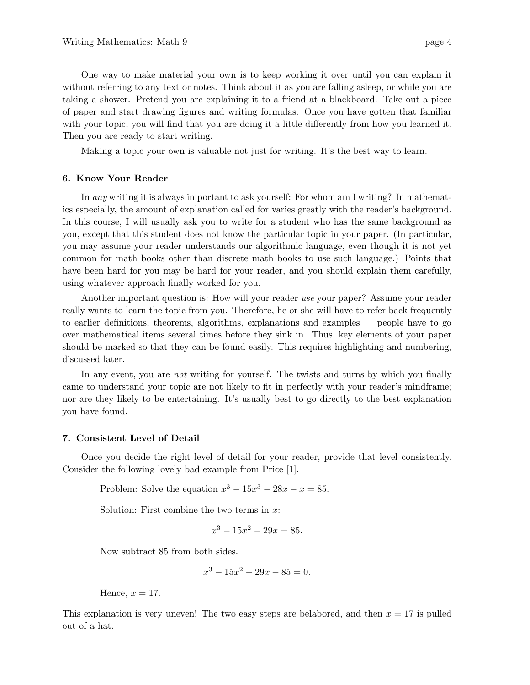One way to make material your own is to keep working it over until you can explain it without referring to any text or notes. Think about it as you are falling asleep, or while you are taking a shower. Pretend you are explaining it to a friend at a blackboard. Take out a piece of paper and start drawing figures and writing formulas. Once you have gotten that familiar with your topic, you will find that you are doing it a little differently from how you learned it. Then you are ready to start writing.

Making a topic your own is valuable not just for writing. It's the best way to learn.

# **6. Know Your Reader**

In any writing it is always important to ask yourself: For whom am I writing? In mathematics especially, the amount of explanation called for varies greatly with the reader's background. In this course, I will usually ask you to write for a student who has the same background as you, except that this student does not know the particular topic in your paper. (In particular, you may assume your reader understands our algorithmic language, even though it is not yet common for math books other than discrete math books to use such language.) Points that have been hard for you may be hard for your reader, and you should explain them carefully, using whatever approach finally worked for you.

Another important question is: How will your reader use your paper? Assume your reader really wants to learn the topic from you. Therefore, he or she will have to refer back frequently to earlier definitions, theorems, algorithms, explanations and examples — people have to go over mathematical items several times before they sink in. Thus, key elements of your paper should be marked so that they can be found easily. This requires highlighting and numbering, discussed later.

In any event, you are *not* writing for yourself. The twists and turns by which you finally came to understand your topic are not likely to fit in perfectly with your reader's mindframe; nor are they likely to be entertaining. It's usually best to go directly to the best explanation you have found.

## **7. Consistent Level of Detail**

Once you decide the right level of detail for your reader, provide that level consistently. Consider the following lovely bad example from Price [1].

Problem: Solve the equation  $x^3 - 15x^3 - 28x - x = 85$ .

Solution: First combine the two terms in *x*:

$$
x^3 - 15x^2 - 29x = 85.
$$

Now subtract 85 from both sides.

$$
x^3 - 15x^2 - 29x - 85 = 0.
$$

Hence,  $x = 17$ .

This explanation is very uneven! The two easy steps are belabored, and then  $x = 17$  is pulled out of a hat.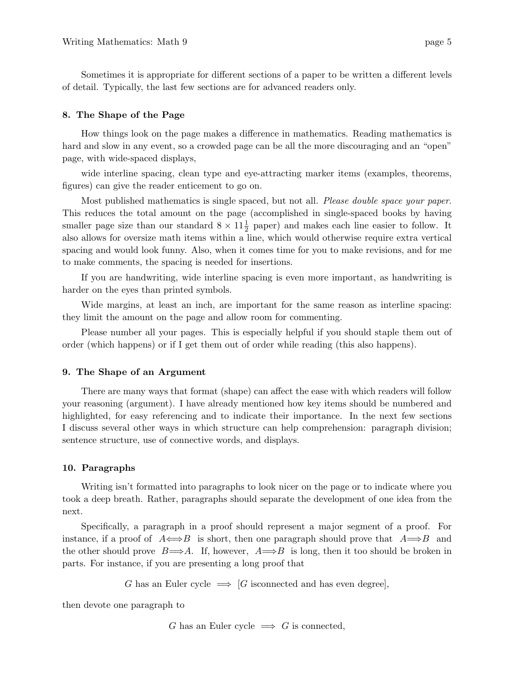Sometimes it is appropriate for different sections of a paper to be written a different levels of detail. Typically, the last few sections are for advanced readers only.

## **8. The Shape of the Page**

How things look on the page makes a difference in mathematics. Reading mathematics is hard and slow in any event, so a crowded page can be all the more discouraging and an "open" page, with wide-spaced displays,

wide interline spacing, clean type and eye-attracting marker items (examples, theorems, figures) can give the reader enticement to go on.

Most published mathematics is single spaced, but not all. Please double space your paper. This reduces the total amount on the page (accomplished in single-spaced books by having smaller page size than our standard  $8 \times 11\frac{1}{2}$  paper) and makes each line easier to follow. It also allows for oversize math items within a line, which would otherwise require extra vertical spacing and would look funny. Also, when it comes time for you to make revisions, and for me to make comments, the spacing is needed for insertions.

If you are handwriting, wide interline spacing is even more important, as handwriting is harder on the eyes than printed symbols.

Wide margins, at least an inch, are important for the same reason as interline spacing: they limit the amount on the page and allow room for commenting.

Please number all your pages. This is especially helpful if you should staple them out of order (which happens) or if I get them out of order while reading (this also happens).

#### **9. The Shape of an Argument**

There are many ways that format (shape) can affect the ease with which readers will follow your reasoning (argument). I have already mentioned how key items should be numbered and highlighted, for easy referencing and to indicate their importance. In the next few sections I discuss several other ways in which structure can help comprehension: paragraph division; sentence structure, use of connective words, and displays.

#### **10. Paragraphs**

Writing isn't formatted into paragraphs to look nicer on the page or to indicate where you took a deep breath. Rather, paragraphs should separate the development of one idea from the next.

Specifically, a paragraph in a proof should represent a major segment of a proof. For instance, if a proof of  $A \leftrightarrow B$  is short, then one paragraph should prove that  $A \rightarrow B$  and the other should prove  $B\rightleftharpoons A$ . If, however,  $A\rightleftharpoons B$  is long, then it too should be broken in parts. For instance, if you are presenting a long proof that

*G* has an Euler cycle  $\implies$  [*G* isconnected and has even degree],

then devote one paragraph to

*G* has an Euler cycle  $\implies$  *G* is connected,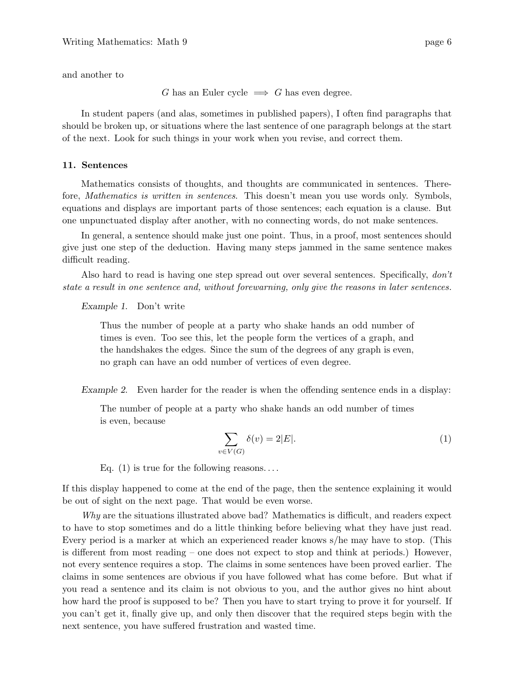and another to

*G* has an Euler cycle  $\implies$  *G* has even degree.

In student papers (and alas, sometimes in published papers), I often find paragraphs that should be broken up, or situations where the last sentence of one paragraph belongs at the start of the next. Look for such things in your work when you revise, and correct them.

# **11. Sentences**

Mathematics consists of thoughts, and thoughts are communicated in sentences. Therefore, *Mathematics is written in sentences*. This doesn't mean you use words only. Symbols, equations and displays are important parts of those sentences; each equation is a clause. But one unpunctuated display after another, with no connecting words, do not make sentences.

In general, a sentence should make just one point. Thus, in a proof, most sentences should give just one step of the deduction. Having many steps jammed in the same sentence makes difficult reading.

Also hard to read is having one step spread out over several sentences. Specifically, don't state a result in one sentence and, without forewarning, only give the reasons in later sentences.

# *Example 1*. Don't write

Thus the number of people at a party who shake hands an odd number of times is even. Too see this, let the people form the vertices of a graph, and the handshakes the edges. Since the sum of the degrees of any graph is even, no graph can have an odd number of vertices of even degree.

*Example 2*. Even harder for the reader is when the offending sentence ends in a display:

The number of people at a party who shake hands an odd number of times is even, because

$$
\sum_{v \in V(G)} \delta(v) = 2|E|.\tag{1}
$$

Eq. (1) is true for the following reasons*...* .

If this display happened to come at the end of the page, then the sentence explaining it would be out of sight on the next page. That would be even worse.

 $Why$  are the situations illustrated above bad? Mathematics is difficult, and readers expect to have to stop sometimes and do a little thinking before believing what they have just read. Every period is a marker at which an experienced reader knows s/he may have to stop. (This is different from most reading – one does not expect to stop and think at periods.) However, not every sentence requires a stop. The claims in some sentences have been proved earlier. The claims in some sentences are obvious if you have followed what has come before. But what if you read a sentence and its claim is not obvious to you, and the author gives no hint about how hard the proof is supposed to be? Then you have to start trying to prove it for yourself. If you can't get it, finally give up, and only then discover that the required steps begin with the next sentence, you have suffered frustration and wasted time.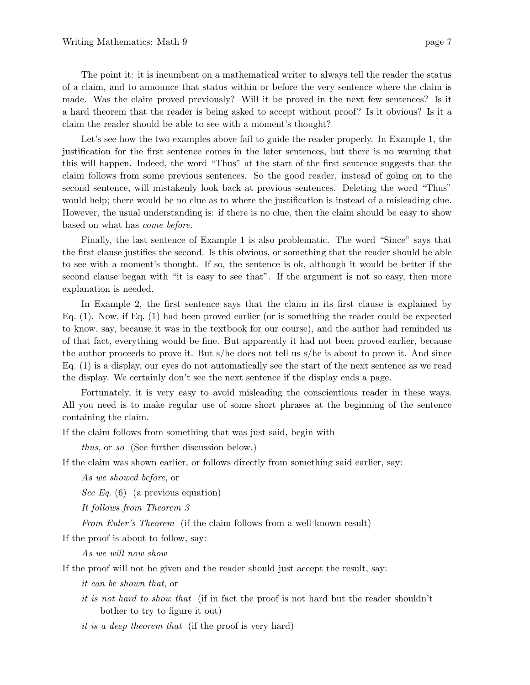The point it: it is incumbent on a mathematical writer to always tell the reader the status of a claim, and to announce that status within or before the very sentence where the claim is made. Was the claim proved previously? Will it be proved in the next few sentences? Is it a hard theorem that the reader is being asked to accept without proof? Is it obvious? Is it a claim the reader should be able to see with a moment's thought?

Let's see how the two examples above fail to guide the reader properly. In Example 1, the justification for the first sentence comes in the later sentences, but there is no warning that this will happen. Indeed, the word "Thus" at the start of the first sentence suggests that the claim follows from some previous sentences. So the good reader, instead of going on to the second sentence, will mistakenly look back at previous sentences. Deleting the word "Thus" would help; there would be no clue as to where the justification is instead of a misleading clue. However, the usual understanding is: if there is no clue, then the claim should be easy to show based on what has come before.

Finally, the last sentence of Example 1 is also problematic. The word "Since" says that the first clause justifies the second. Is this obvious, or something that the reader should be able to see with a moment's thought. If so, the sentence is ok, although it would be better if the second clause began with "it is easy to see that". If the argument is not so easy, then more explanation is needed.

In Example 2, the first sentence says that the claim in its first clause is explained by Eq. (1). Now, if Eq. (1) had been proved earlier (or is something the reader could be expected to know, say, because it was in the textbook for our course), and the author had reminded us of that fact, everything would be fine. But apparently it had not been proved earlier, because the author proceeds to prove it. But s/he does not tell us s/he is about to prove it. And since Eq. (1) is a display, our eyes do not automatically see the start of the next sentence as we read the display. We certainly don't see the next sentence if the display ends a page.

Fortunately, it is very easy to avoid misleading the conscientious reader in these ways. All you need is to make regular use of some short phrases at the beginning of the sentence containing the claim.

If the claim follows from something that was just said, begin with

thus, or so (See further discussion below.)

If the claim was shown earlier, or follows directly from something said earlier, say:

As we showed before, or

See Eq.  $(6)$  (a previous equation)

It follows from Theorem 3

From Euler's Theorem (if the claim follows from a well known result)

If the proof is about to follow, say:

As we will now show

If the proof will not be given and the reader should just accept the result, say:

it can be shown that, or

it is not hard to show that (if in fact the proof is not hard but the reader shouldn't bother to try to figure it out)

it is a deep theorem that (if the proof is very hard)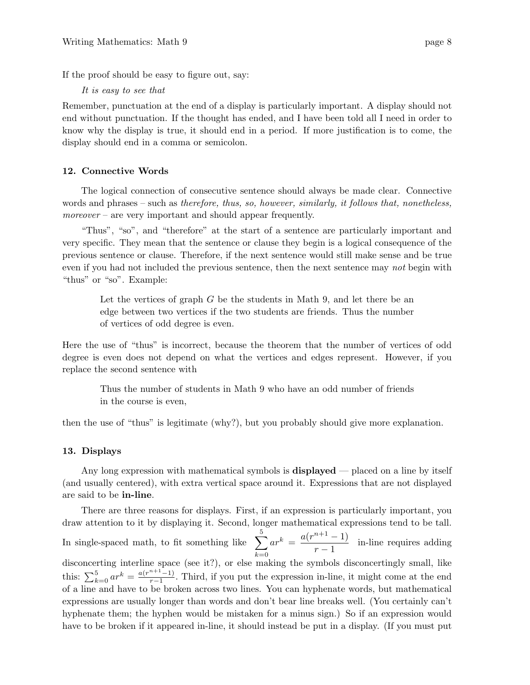If the proof should be easy to figure out, say:

It is easy to see that

Remember, punctuation at the end of a display is particularly important. A display should not end without punctuation. If the thought has ended, and I have been told all I need in order to know why the display is true, it should end in a period. If more justification is to come, the display should end in a comma or semicolon.

# **12. Connective Words**

The logical connection of consecutive sentence should always be made clear. Connective words and phrases – such as therefore, thus, so, however, similarly, it follows that, nonetheless, moreover – are very important and should appear frequently.

"Thus", "so", and "therefore" at the start of a sentence are particularly important and very specific. They mean that the sentence or clause they begin is a logical consequence of the previous sentence or clause. Therefore, if the next sentence would still make sense and be true even if you had not included the previous sentence, then the next sentence may not begin with "thus" or "so". Example:

Let the vertices of graph *G* be the students in Math 9, and let there be an edge between two vertices if the two students are friends. Thus the number of vertices of odd degree is even.

Here the use of "thus" is incorrect, because the theorem that the number of vertices of odd degree is even does not depend on what the vertices and edges represent. However, if you replace the second sentence with

Thus the number of students in Math 9 who have an odd number of friends in the course is even,

then the use of "thus" is legitimate (why?), but you probably should give more explanation.

#### **13. Displays**

Any long expression with mathematical symbols is **displayed** — placed on a line by itself (and usually centered), with extra vertical space around it. Expressions that are not displayed are said to be **in-line**.

There are three reasons for displays. First, if an expression is particularly important, you draw attention to it by displaying it. Second, longer mathematical expressions tend to be tall. In single-spaced math, to fit something like  $\sum_{n=1}^{5}$ *k*=0  $ar^{k} = \frac{a(r^{n+1}-1)}{1}$  $\frac{1}{r-1}$  in-line requires adding disconcerting interline space (see it?), or else making the symbols disconcertingly small, like this:  $\sum_{k=0}^{5} ar^k = \frac{a(r^{n+1}-1)}{r-1}$ . Third, if you put the expression in-line, it might come at the end of a line and have to be broken across two lines. You can hyphenate words, but mathematical expressions are usually longer than words and don't bear line breaks well. (You certainly can't hyphenate them; the hyphen would be mistaken for a minus sign.) So if an expression would have to be broken if it appeared in-line, it should instead be put in a display. (If you must put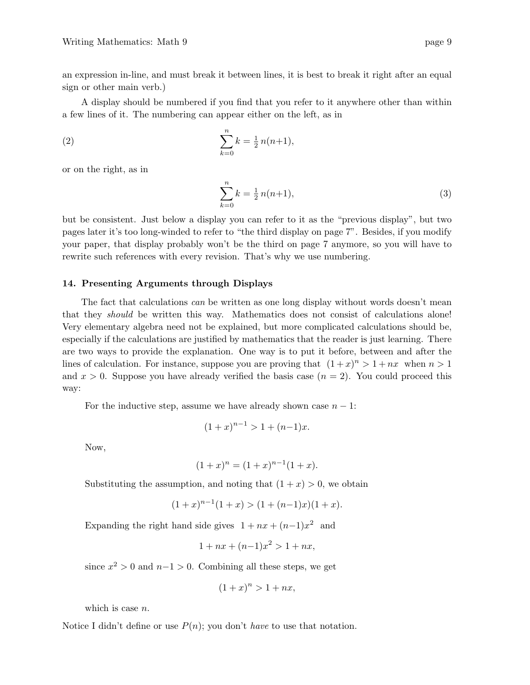an expression in-line, and must break it between lines, it is best to break it right after an equal sign or other main verb.)

A display should be numbered if you find that you refer to it anywhere other than within a few lines of it. The numbering can appear either on the left, as in

(2) 
$$
\sum_{k=0}^{n} k = \frac{1}{2} n(n+1),
$$

or on the right, as in

$$
\sum_{k=0}^{n} k = \frac{1}{2} n(n+1),\tag{3}
$$

but be consistent. Just below a display you can refer to it as the "previous display", but two pages later it's too long-winded to refer to "the third display on page 7". Besides, if you modify your paper, that display probably won't be the third on page 7 anymore, so you will have to rewrite such references with every revision. That's why we use numbering.

#### **14. Presenting Arguments through Displays**

The fact that calculations *can* be written as one long display without words doesn't mean that they should be written this way. Mathematics does not consist of calculations alone! Very elementary algebra need not be explained, but more complicated calculations should be, especially if the calculations are justified by mathematics that the reader is just learning. There are two ways to provide the explanation. One way is to put it before, between and after the lines of calculation. For instance, suppose you are proving that  $(1+x)^n > 1 + nx$  when  $n > 1$ and  $x > 0$ . Suppose you have already verified the basis case  $(n = 2)$ . You could proceed this way:

For the inductive step, assume we have already shown case  $n-1$ :

$$
(1+x)^{n-1} > 1 + (n-1)x.
$$

Now,

$$
(1+x)^n = (1+x)^{n-1}(1+x).
$$

Substituting the assumption, and noting that  $(1 + x) > 0$ , we obtain

$$
(1+x)^{n-1}(1+x) > (1+(n-1)x)(1+x).
$$

Expanding the right hand side gives  $1 + nx + (n-1)x^2$  and

$$
1 + nx + (n-1)x^2 > 1 + nx,
$$

since  $x^2 > 0$  and  $n-1 > 0$ . Combining all these steps, we get

$$
(1+x)^n > 1+nx,
$$

which is case *n*.

Notice I didn't define or use  $P(n)$ ; you don't *have* to use that notation.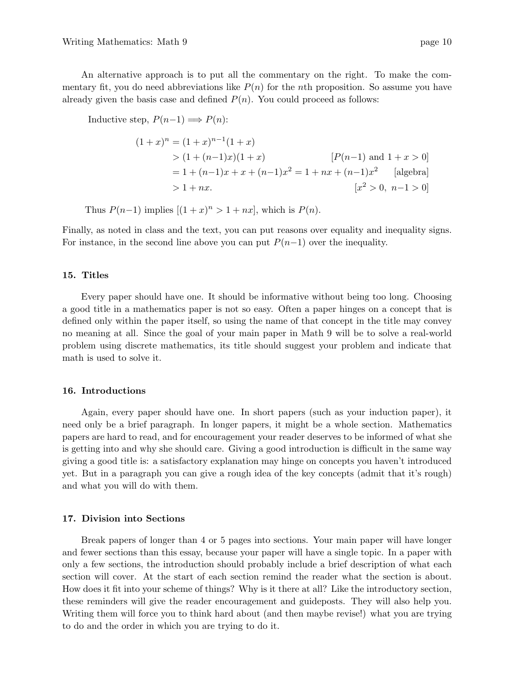An alternative approach is to put all the commentary on the right. To make the commentary fit, you do need abbreviations like  $P(n)$  for the *n*th proposition. So assume you have already given the basis case and defined  $P(n)$ . You could proceed as follows:

Inductive step,  $P(n-1) \implies P(n)$ :

$$
(1+x)^n = (1+x)^{n-1}(1+x)
$$
  
>  $(1 + (n-1)x)(1+x)$  [*P(n-1)* and  $1 + x > 0$ ]  
=  $1 + (n-1)x + x + (n-1)x^2 = 1 + nx + (n-1)x^2$  [algebra]  
>  $1 + nx$  [*x*<sup>2</sup> > 0, *n*-1>0]

Thus  $P(n-1)$  implies  $[(1+x)^n > 1 + nx]$ , which is  $P(n)$ .

Finally, as noted in class and the text, you can put reasons over equality and inequality signs. For instance, in the second line above you can put  $P(n-1)$  over the inequality.

#### **15. Titles**

Every paper should have one. It should be informative without being too long. Choosing a good title in a mathematics paper is not so easy. Often a paper hinges on a concept that is defined only within the paper itself, so using the name of that concept in the title may convey no meaning at all. Since the goal of your main paper in Math 9 will be to solve a real-world problem using discrete mathematics, its title should suggest your problem and indicate that math is used to solve it.

# **16. Introductions**

Again, every paper should have one. In short papers (such as your induction paper), it need only be a brief paragraph. In longer papers, it might be a whole section. Mathematics papers are hard to read, and for encouragement your reader deserves to be informed of what she is getting into and why she should care. Giving a good introduction is difficult in the same way giving a good title is: a satisfactory explanation may hinge on concepts you haven't introduced yet. But in a paragraph you can give a rough idea of the key concepts (admit that it's rough) and what you will do with them.

#### **17. Division into Sections**

Break papers of longer than 4 or 5 pages into sections. Your main paper will have longer and fewer sections than this essay, because your paper will have a single topic. In a paper with only a few sections, the introduction should probably include a brief description of what each section will cover. At the start of each section remind the reader what the section is about. How does it fit into your scheme of things? Why is it there at all? Like the introductory section, these reminders will give the reader encouragement and guideposts. They will also help you. Writing them will force you to think hard about (and then maybe revise!) what you are trying to do and the order in which you are trying to do it.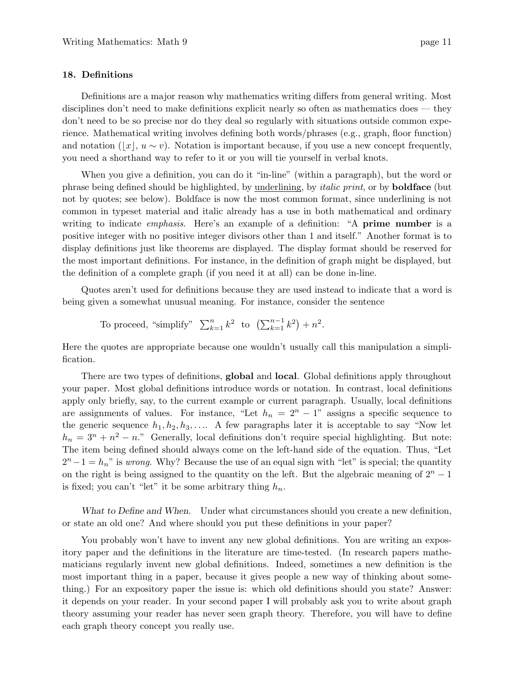## **18. Definitions**

Definitions are a major reason why mathematics writing differs from general writing. Most disciplines don't need to make definitions explicit nearly so often as mathematics does — they don't need to be so precise nor do they deal so regularly with situations outside common experience. Mathematical writing involves defining both words/phrases (e.g., graph, floor function) and notation  $(|x|, u \sim v)$ . Notation is important because, if you use a new concept frequently, you need a shorthand way to refer to it or you will tie yourself in verbal knots.

When you give a definition, you can do it "in-line" (within a paragraph), but the word or phrase being defined should be highlighted, by underlining, by italic print, or by **boldface** (but not by quotes; see below). Boldface is now the most common format, since underlining is not common in typeset material and italic already has a use in both mathematical and ordinary writing to indicate emphasis. Here's an example of a definition: "A **prime number** is a positive integer with no positive integer divisors other than 1 and itself." Another format is to display definitions just like theorems are displayed. The display format should be reserved for the most important definitions. For instance, in the definition of graph might be displayed, but the definition of a complete graph (if you need it at all) can be done in-line.

Quotes aren't used for definitions because they are used instead to indicate that a word is being given a somewhat unusual meaning. For instance, consider the sentence

To proceed, "simplify"  $\sum_{k=1}^{n} k^2$  to  $(\sum_{k=1}^{n-1} k^2) + n^2$ .

Here the quotes are appropriate because one wouldn't usually call this manipulation a simplification.

There are two types of definitions, **global** and **local**. Global definitions apply throughout your paper. Most global definitions introduce words or notation. In contrast, local definitions apply only briefly, say, to the current example or current paragraph. Usually, local definitions are assignments of values. For instance, "Let  $h_n = 2^n - 1$ " assigns a specific sequence to the generic sequence  $h_1, h_2, h_3, \ldots$ . A few paragraphs later it is acceptable to say "Now let  $h_n = 3^n + n^2 - n$ ." Generally, local definitions don't require special highlighting. But note: The item being defined should always come on the left-hand side of the equation. Thus, "Let  $2<sup>n</sup>−1 = h<sub>n</sub>$ " is wrong. Why? Because the use of an equal sign with "let" is special; the quantity on the right is being assigned to the quantity on the left. But the algebraic meaning of 2*<sup>n</sup>* <sup>−</sup> <sup>1</sup> is fixed; you can't "let" it be some arbitrary thing  $h_n$ .

*What to Define and When*. Under what circumstances should you create a new definition, or state an old one? And where should you put these definitions in your paper?

You probably won't have to invent any new global definitions. You are writing an expository paper and the definitions in the literature are time-tested. (In research papers mathematicians regularly invent new global definitions. Indeed, sometimes a new definition is the most important thing in a paper, because it gives people a new way of thinking about something.) For an expository paper the issue is: which old definitions should you state? Answer: it depends on your reader. In your second paper I will probably ask you to write about graph theory assuming your reader has never seen graph theory. Therefore, you will have to define each graph theory concept you really use.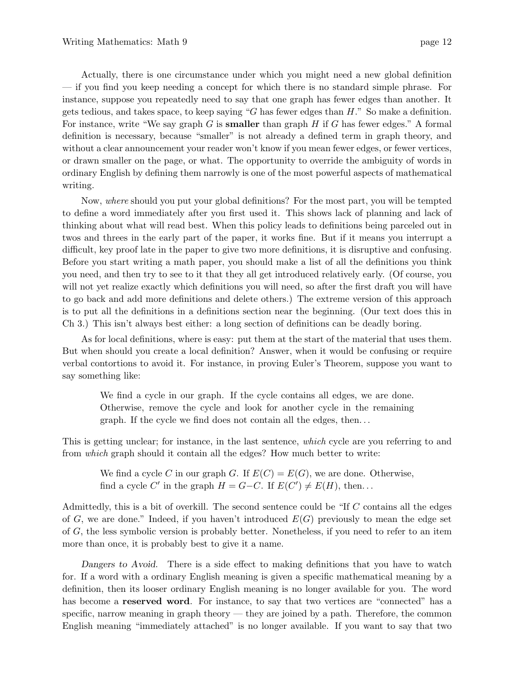Actually, there is one circumstance under which you might need a new global definition — if you find you keep needing a concept for which there is no standard simple phrase. For instance, suppose you repeatedly need to say that one graph has fewer edges than another. It gets tedious, and takes space, to keep saying "*G* has fewer edges than *H*." So make a definition. For instance, write "We say graph *G* is **smaller** than graph *H* if *G* has fewer edges." A formal definition is necessary, because "smaller" is not already a defined term in graph theory, and without a clear announcement your reader won't know if you mean fewer edges, or fewer vertices, or drawn smaller on the page, or what. The opportunity to override the ambiguity of words in ordinary English by defining them narrowly is one of the most powerful aspects of mathematical writing.

Now, where should you put your global definitions? For the most part, you will be tempted to define a word immediately after you first used it. This shows lack of planning and lack of thinking about what will read best. When this policy leads to definitions being parceled out in twos and threes in the early part of the paper, it works fine. But if it means you interrupt a difficult, key proof late in the paper to give two more definitions, it is disruptive and confusing. Before you start writing a math paper, you should make a list of all the definitions you think you need, and then try to see to it that they all get introduced relatively early. (Of course, you will not yet realize exactly which definitions you will need, so after the first draft you will have to go back and add more definitions and delete others.) The extreme version of this approach is to put all the definitions in a definitions section near the beginning. (Our text does this in Ch 3.) This isn't always best either: a long section of definitions can be deadly boring.

As for local definitions, where is easy: put them at the start of the material that uses them. But when should you create a local definition? Answer, when it would be confusing or require verbal contortions to avoid it. For instance, in proving Euler's Theorem, suppose you want to say something like:

We find a cycle in our graph. If the cycle contains all edges, we are done. Otherwise, remove the cycle and look for another cycle in the remaining graph. If the cycle we find does not contain all the edges, then*...*

This is getting unclear; for instance, in the last sentence, which cycle are you referring to and from which graph should it contain all the edges? How much better to write:

We find a cycle *C* in our graph *G*. If  $E(C) = E(G)$ , we are done. Otherwise, find a cycle  $C'$  in the graph  $H = G - C$ . If  $E(C') \neq E(H)$ , then...

Admittedly, this is a bit of overkill. The second sentence could be "If *C* contains all the edges of  $G$ , we are done." Indeed, if you haven't introduced  $E(G)$  previously to mean the edge set of *G*, the less symbolic version is probably better. Nonetheless, if you need to refer to an item more than once, it is probably best to give it a name.

*Dangers to Avoid*. There is a side effect to making definitions that you have to watch for. If a word with a ordinary English meaning is given a specific mathematical meaning by a definition, then its looser ordinary English meaning is no longer available for you. The word has become a **reserved word**. For instance, to say that two vertices are "connected" has a specific, narrow meaning in graph theory — they are joined by a path. Therefore, the common English meaning "immediately attached" is no longer available. If you want to say that two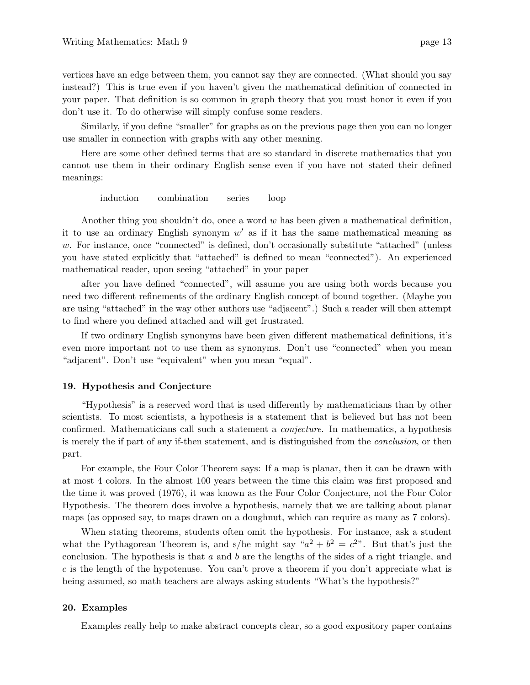vertices have an edge between them, you cannot say they are connected. (What should you say instead?) This is true even if you haven't given the mathematical definition of connected in your paper. That definition is so common in graph theory that you must honor it even if you don't use it. To do otherwise will simply confuse some readers.

Similarly, if you define "smaller" for graphs as on the previous page then you can no longer use smaller in connection with graphs with any other meaning.

Here are some other defined terms that are so standard in discrete mathematics that you cannot use them in their ordinary English sense even if you have not stated their defined meanings:

induction combination series loop

Another thing you shouldn't do, once a word *w* has been given a mathematical definition, it to use an ordinary English synonym  $w'$  as if it has the same mathematical meaning as w. For instance, once "connected" is defined, don't occasionally substitute "attached" (unless you have stated explicitly that "attached" is defined to mean "connected"). An experienced mathematical reader, upon seeing "attached" in your paper

after you have defined "connected", will assume you are using both words because you need two different refinements of the ordinary English concept of bound together. (Maybe you are using "attached" in the way other authors use "adjacent".) Such a reader will then attempt to find where you defined attached and will get frustrated.

If two ordinary English synonyms have been given different mathematical definitions, it's even more important not to use them as synonyms. Don't use "connected" when you mean "adjacent". Don't use "equivalent" when you mean "equal".

## **19. Hypothesis and Conjecture**

"Hypothesis" is a reserved word that is used differently by mathematicians than by other scientists. To most scientists, a hypothesis is a statement that is believed but has not been confirmed. Mathematicians call such a statement a conjecture. In mathematics, a hypothesis is merely the if part of any if-then statement, and is distinguished from the conclusion, or then part.

For example, the Four Color Theorem says: If a map is planar, then it can be drawn with at most 4 colors. In the almost 100 years between the time this claim was first proposed and the time it was proved (1976), it was known as the Four Color Conjecture, not the Four Color Hypothesis. The theorem does involve a hypothesis, namely that we are talking about planar maps (as opposed say, to maps drawn on a doughnut, which can require as many as 7 colors).

When stating theorems, students often omit the hypothesis. For instance, ask a student what the Pythagorean Theorem is, and s/he might say " $a^2 + b^2 = c^2$ ". But that's just the conclusion. The hypothesis is that *a* and *b* are the lengths of the sides of a right triangle, and *c* is the length of the hypotenuse. You can't prove a theorem if you don't appreciate what is being assumed, so math teachers are always asking students "What's the hypothesis?"

## **20. Examples**

Examples really help to make abstract concepts clear, so a good expository paper contains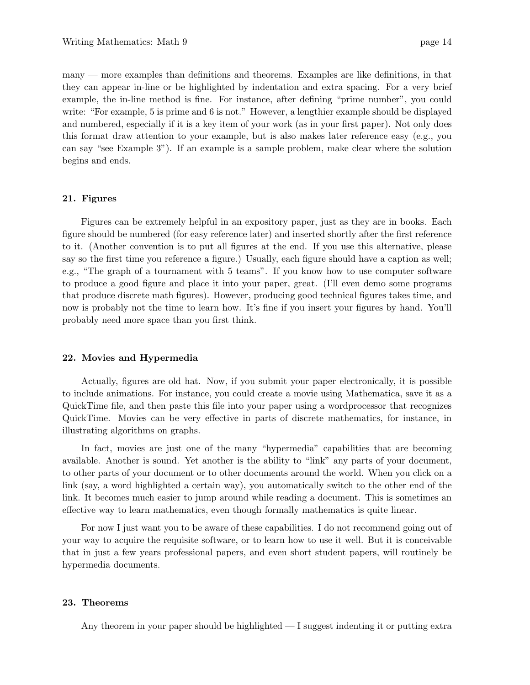many — more examples than definitions and theorems. Examples are like definitions, in that they can appear in-line or be highlighted by indentation and extra spacing. For a very brief example, the in-line method is fine. For instance, after defining "prime number", you could write: "For example, 5 is prime and 6 is not." However, a lengthier example should be displayed and numbered, especially if it is a key item of your work (as in your first paper). Not only does this format draw attention to your example, but is also makes later reference easy (e.g., you can say "see Example 3"). If an example is a sample problem, make clear where the solution begins and ends.

#### **21. Figures**

Figures can be extremely helpful in an expository paper, just as they are in books. Each figure should be numbered (for easy reference later) and inserted shortly after the first reference to it. (Another convention is to put all figures at the end. If you use this alternative, please say so the first time you reference a figure.) Usually, each figure should have a caption as well; e.g., "The graph of a tournament with 5 teams". If you know how to use computer software to produce a good figure and place it into your paper, great. (I'll even demo some programs that produce discrete math figures). However, producing good technical figures takes time, and now is probably not the time to learn how. It's fine if you insert your figures by hand. You'll probably need more space than you first think.

#### **22. Movies and Hypermedia**

Actually, figures are old hat. Now, if you submit your paper electronically, it is possible to include animations. For instance, you could create a movie using Mathematica, save it as a QuickTime file, and then paste this file into your paper using a wordprocessor that recognizes QuickTime. Movies can be very effective in parts of discrete mathematics, for instance, in illustrating algorithms on graphs.

In fact, movies are just one of the many "hypermedia" capabilities that are becoming available. Another is sound. Yet another is the ability to "link" any parts of your document, to other parts of your document or to other documents around the world. When you click on a link (say, a word highlighted a certain way), you automatically switch to the other end of the link. It becomes much easier to jump around while reading a document. This is sometimes an effective way to learn mathematics, even though formally mathematics is quite linear.

For now I just want you to be aware of these capabilities. I do not recommend going out of your way to acquire the requisite software, or to learn how to use it well. But it is conceivable that in just a few years professional papers, and even short student papers, will routinely be hypermedia documents.

#### **23. Theorems**

Any theorem in your paper should be highlighted — I suggest indenting it or putting extra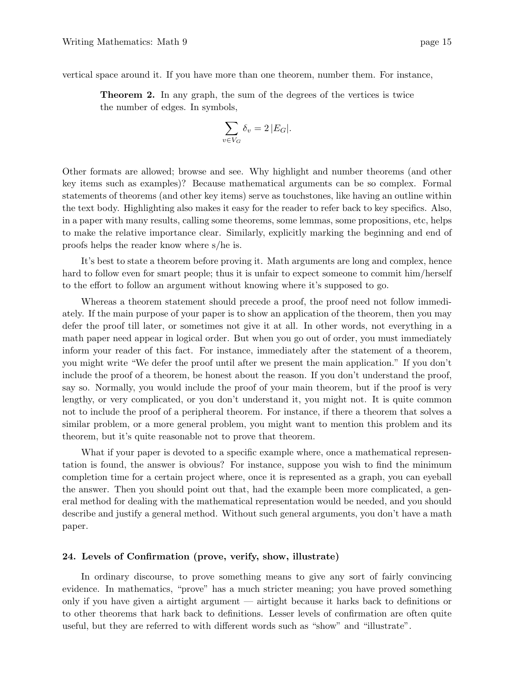vertical space around it. If you have more than one theorem, number them. For instance,

**Theorem 2.** In any graph, the sum of the degrees of the vertices is twice the number of edges. In symbols,

$$
\sum_{v \in V_G} \delta_v = 2 |E_G|.
$$

Other formats are allowed; browse and see. Why highlight and number theorems (and other key items such as examples)? Because mathematical arguments can be so complex. Formal statements of theorems (and other key items) serve as touchstones, like having an outline within the text body. Highlighting also makes it easy for the reader to refer back to key specifics. Also, in a paper with many results, calling some theorems, some lemmas, some propositions, etc, helps to make the relative importance clear. Similarly, explicitly marking the beginning and end of proofs helps the reader know where s/he is.

It's best to state a theorem before proving it. Math arguments are long and complex, hence hard to follow even for smart people; thus it is unfair to expect someone to commit him/herself to the effort to follow an argument without knowing where it's supposed to go.

Whereas a theorem statement should precede a proof, the proof need not follow immediately. If the main purpose of your paper is to show an application of the theorem, then you may defer the proof till later, or sometimes not give it at all. In other words, not everything in a math paper need appear in logical order. But when you go out of order, you must immediately inform your reader of this fact. For instance, immediately after the statement of a theorem, you might write "We defer the proof until after we present the main application." If you don't include the proof of a theorem, be honest about the reason. If you don't understand the proof, say so. Normally, you would include the proof of your main theorem, but if the proof is very lengthy, or very complicated, or you don't understand it, you might not. It is quite common not to include the proof of a peripheral theorem. For instance, if there a theorem that solves a similar problem, or a more general problem, you might want to mention this problem and its theorem, but it's quite reasonable not to prove that theorem.

What if your paper is devoted to a specific example where, once a mathematical representation is found, the answer is obvious? For instance, suppose you wish to find the minimum completion time for a certain project where, once it is represented as a graph, you can eyeball the answer. Then you should point out that, had the example been more complicated, a general method for dealing with the mathematical representation would be needed, and you should describe and justify a general method. Without such general arguments, you don't have a math paper.

#### **24. Levels of Confirmation (prove, verify, show, illustrate)**

In ordinary discourse, to prove something means to give any sort of fairly convincing evidence. In mathematics, "prove" has a much stricter meaning; you have proved something only if you have given a airtight argument — airtight because it harks back to definitions or to other theorems that hark back to definitions. Lesser levels of confirmation are often quite useful, but they are referred to with different words such as "show" and "illustrate".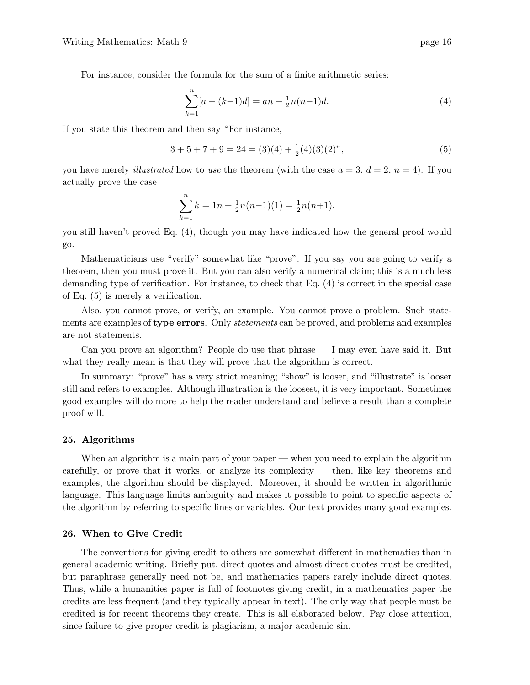For instance, consider the formula for the sum of a finite arithmetic series:

$$
\sum_{k=1}^{n} [a + (k-1)d] = an + \frac{1}{2}n(n-1)d.
$$
 (4)

If you state this theorem and then say "For instance,

$$
3 + 5 + 7 + 9 = 24 = (3)(4) + \frac{1}{2}(4)(3)(2)",
$$
\n(5)

you have merely *illustrated* how to use the theorem (with the case  $a = 3$ ,  $d = 2$ ,  $n = 4$ ). If you actually prove the case

$$
\sum_{k=1}^{n} k = 1n + \frac{1}{2}n(n-1)(1) = \frac{1}{2}n(n+1),
$$

you still haven't proved Eq. (4), though you may have indicated how the general proof would go.

Mathematicians use "verify" somewhat like "prove". If you say you are going to verify a theorem, then you must prove it. But you can also verify a numerical claim; this is a much less demanding type of verification. For instance, to check that Eq. (4) is correct in the special case of Eq. (5) is merely a verification.

Also, you cannot prove, or verify, an example. You cannot prove a problem. Such statements are examples of **type errors**. Only statements can be proved, and problems and examples are not statements.

Can you prove an algorithm? People do use that phrase — I may even have said it. But what they really mean is that they will prove that the algorithm is correct.

In summary: "prove" has a very strict meaning; "show" is looser, and "illustrate" is looser still and refers to examples. Although illustration is the loosest, it is very important. Sometimes good examples will do more to help the reader understand and believe a result than a complete proof will.

#### **25. Algorithms**

When an algorithm is a main part of your paper — when you need to explain the algorithm carefully, or prove that it works, or analyze its complexity — then, like key theorems and examples, the algorithm should be displayed. Moreover, it should be written in algorithmic language. This language limits ambiguity and makes it possible to point to specific aspects of the algorithm by referring to specific lines or variables. Our text provides many good examples.

## **26. When to Give Credit**

The conventions for giving credit to others are somewhat different in mathematics than in general academic writing. Briefly put, direct quotes and almost direct quotes must be credited, but paraphrase generally need not be, and mathematics papers rarely include direct quotes. Thus, while a humanities paper is full of footnotes giving credit, in a mathematics paper the credits are less frequent (and they typically appear in text). The only way that people must be credited is for recent theorems they create. This is all elaborated below. Pay close attention, since failure to give proper credit is plagiarism, a major academic sin.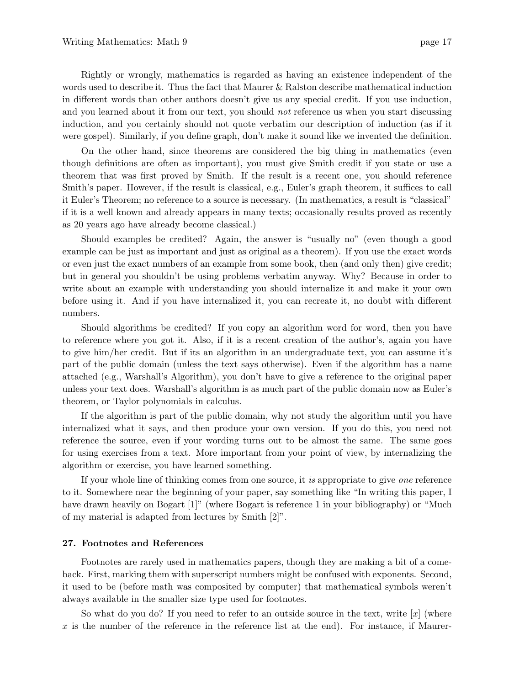Rightly or wrongly, mathematics is regarded as having an existence independent of the words used to describe it. Thus the fact that Maurer & Ralston describe mathematical induction in different words than other authors doesn't give us any special credit. If you use induction, and you learned about it from our text, you should *not* reference us when you start discussing induction, and you certainly should not quote verbatim our description of induction (as if it were gospel). Similarly, if you define graph, don't make it sound like we invented the definition.

On the other hand, since theorems are considered the big thing in mathematics (even though definitions are often as important), you must give Smith credit if you state or use a theorem that was first proved by Smith. If the result is a recent one, you should reference Smith's paper. However, if the result is classical, e.g., Euler's graph theorem, it suffices to call it Euler's Theorem; no reference to a source is necessary. (In mathematics, a result is "classical" if it is a well known and already appears in many texts; occasionally results proved as recently as 20 years ago have already become classical.)

Should examples be credited? Again, the answer is "usually no" (even though a good example can be just as important and just as original as a theorem). If you use the exact words or even just the exact numbers of an example from some book, then (and only then) give credit; but in general you shouldn't be using problems verbatim anyway. Why? Because in order to write about an example with understanding you should internalize it and make it your own before using it. And if you have internalized it, you can recreate it, no doubt with different numbers.

Should algorithms be credited? If you copy an algorithm word for word, then you have to reference where you got it. Also, if it is a recent creation of the author's, again you have to give him/her credit. But if its an algorithm in an undergraduate text, you can assume it's part of the public domain (unless the text says otherwise). Even if the algorithm has a name attached (e.g., Warshall's Algorithm), you don't have to give a reference to the original paper unless your text does. Warshall's algorithm is as much part of the public domain now as Euler's theorem, or Taylor polynomials in calculus.

If the algorithm is part of the public domain, why not study the algorithm until you have internalized what it says, and then produce your own version. If you do this, you need not reference the source, even if your wording turns out to be almost the same. The same goes for using exercises from a text. More important from your point of view, by internalizing the algorithm or exercise, you have learned something.

If your whole line of thinking comes from one source, it is appropriate to give one reference to it. Somewhere near the beginning of your paper, say something like "In writing this paper, I have drawn heavily on Bogart [1]" (where Bogart is reference 1 in your bibliography) or "Much of my material is adapted from lectures by Smith [2]".

## **27. Footnotes and References**

Footnotes are rarely used in mathematics papers, though they are making a bit of a comeback. First, marking them with superscript numbers might be confused with exponents. Second, it used to be (before math was composited by computer) that mathematical symbols weren't always available in the smaller size type used for footnotes.

So what do you do? If you need to refer to an outside source in the text, write [*x*] (where x is the number of the reference in the reference list at the end). For instance, if Maurer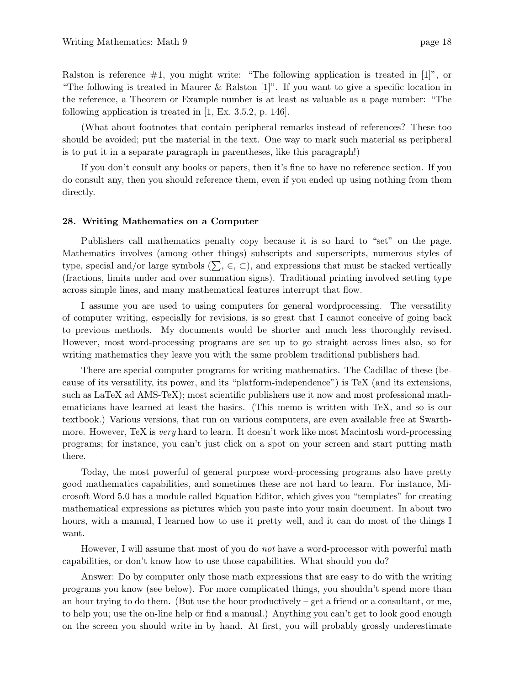Ralston is reference  $\#1$ , you might write: "The following application is treated in [1]", or "The following is treated in Maurer & Ralston  $[1]$ ". If you want to give a specific location in the reference, a Theorem or Example number is at least as valuable as a page number: "The following application is treated in [1, Ex. 3.5.2, p. 146].

(What about footnotes that contain peripheral remarks instead of references? These too should be avoided; put the material in the text. One way to mark such material as peripheral is to put it in a separate paragraph in parentheses, like this paragraph!)

If you don't consult any books or papers, then it's fine to have no reference section. If you do consult any, then you should reference them, even if you ended up using nothing from them directly.

#### **28. Writing Mathematics on a Computer**

Publishers call mathematics penalty copy because it is so hard to "set" on the page. Mathematics involves (among other things) subscripts and superscripts, numerous styles of type, special and/or large symbols  $(\Sigma, \in, \subset)$ , and expressions that must be stacked vertically (fractions, limits under and over summation signs). Traditional printing involved setting type across simple lines, and many mathematical features interrupt that flow.

I assume you are used to using computers for general wordprocessing. The versatility of computer writing, especially for revisions, is so great that I cannot conceive of going back to previous methods. My documents would be shorter and much less thoroughly revised. However, most word-processing programs are set up to go straight across lines also, so for writing mathematics they leave you with the same problem traditional publishers had.

There are special computer programs for writing mathematics. The Cadillac of these (because of its versatility, its power, and its "platform-independence") is TeX (and its extensions, such as LaTeX ad AMS-TeX); most scientific publishers use it now and most professional mathematicians have learned at least the basics. (This memo is written with TeX, and so is our textbook.) Various versions, that run on various computers, are even available free at Swarthmore. However, TeX is very hard to learn. It doesn't work like most Macintosh word-processing programs; for instance, you can't just click on a spot on your screen and start putting math there.

Today, the most powerful of general purpose word-processing programs also have pretty good mathematics capabilities, and sometimes these are not hard to learn. For instance, Microsoft Word 5.0 has a module called Equation Editor, which gives you "templates" for creating mathematical expressions as pictures which you paste into your main document. In about two hours, with a manual, I learned how to use it pretty well, and it can do most of the things I want.

However, I will assume that most of you do *not* have a word-processor with powerful math capabilities, or don't know how to use those capabilities. What should you do?

Answer: Do by computer only those math expressions that are easy to do with the writing programs you know (see below). For more complicated things, you shouldn't spend more than an hour trying to do them. (But use the hour productively – get a friend or a consultant, or me, to help you; use the on-line help or find a manual.) Anything you can't get to look good enough on the screen you should write in by hand. At first, you will probably grossly underestimate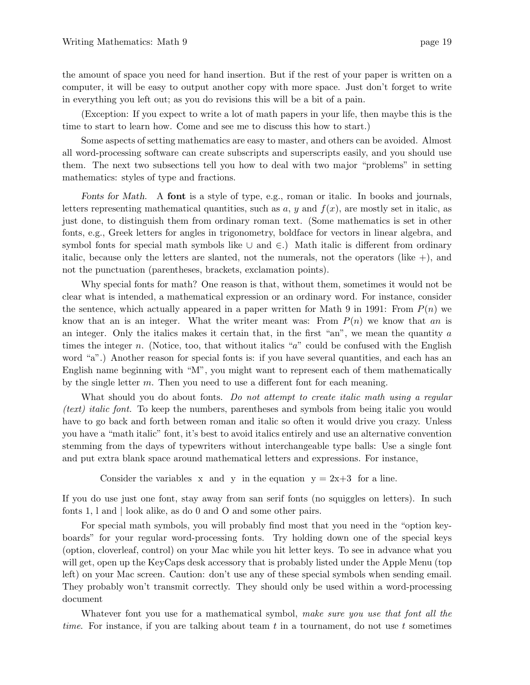the amount of space you need for hand insertion. But if the rest of your paper is written on a computer, it will be easy to output another copy with more space. Just don't forget to write in everything you left out; as you do revisions this will be a bit of a pain.

(Exception: If you expect to write a lot of math papers in your life, then maybe this is the time to start to learn how. Come and see me to discuss this how to start.)

Some aspects of setting mathematics are easy to master, and others can be avoided. Almost all word-processing software can create subscripts and superscripts easily, and you should use them. The next two subsections tell you how to deal with two major "problems" in setting mathematics: styles of type and fractions.

*Fonts for Math*. A **font** is a style of type, e.g., roman or italic. In books and journals, letters representing mathematical quantities, such as  $a, y$  and  $f(x)$ , are mostly set in italic, as just done, to distinguish them from ordinary roman text. (Some mathematics is set in other fonts, e.g., Greek letters for angles in trigonometry, boldface for vectors in linear algebra, and symbol fonts for special math symbols like ∪ and ∈.) Math italic is different from ordinary italic, because only the letters are slanted, not the numerals, not the operators (like  $+)$ , and not the punctuation (parentheses, brackets, exclamation points).

Why special fonts for math? One reason is that, without them, sometimes it would not be clear what is intended, a mathematical expression or an ordinary word. For instance, consider the sentence, which actually appeared in a paper written for Math 9 in 1991: From  $P(n)$  we know that an is an integer. What the writer meant was: From  $P(n)$  we know that an is an integer. Only the italics makes it certain that, in the first "an", we mean the quantity *a* times the integer *n*. (Notice, too, that without italics "*a*" could be confused with the English word "a".) Another reason for special fonts is: if you have several quantities, and each has an English name beginning with "M", you might want to represent each of them mathematically by the single letter *m*. Then you need to use a different font for each meaning.

What should you do about fonts. Do not attempt to create italic math using a regular (text) italic font. To keep the numbers, parentheses and symbols from being italic you would have to go back and forth between roman and italic so often it would drive you crazy. Unless you have a "math italic" font, it's best to avoid italics entirely and use an alternative convention stemming from the days of typewriters without interchangeable type balls: Use a single font and put extra blank space around mathematical letters and expressions. For instance,

Consider the variables x and y in the equation  $y = 2x+3$  for a line.

If you do use just one font, stay away from san serif fonts (no squiggles on letters). In such fonts 1, l and | look alike, as do 0 and O and some other pairs.

For special math symbols, you will probably find most that you need in the "option keyboards" for your regular word-processing fonts. Try holding down one of the special keys (option, cloverleaf, control) on your Mac while you hit letter keys. To see in advance what you will get, open up the KeyCaps desk accessory that is probably listed under the Apple Menu (top left) on your Mac screen. Caution: don't use any of these special symbols when sending email. They probably won't transmit correctly. They should only be used within a word-processing document

Whatever font you use for a mathematical symbol, make sure you use that font all the time. For instance, if you are talking about team *t* in a tournament, do not use *t* sometimes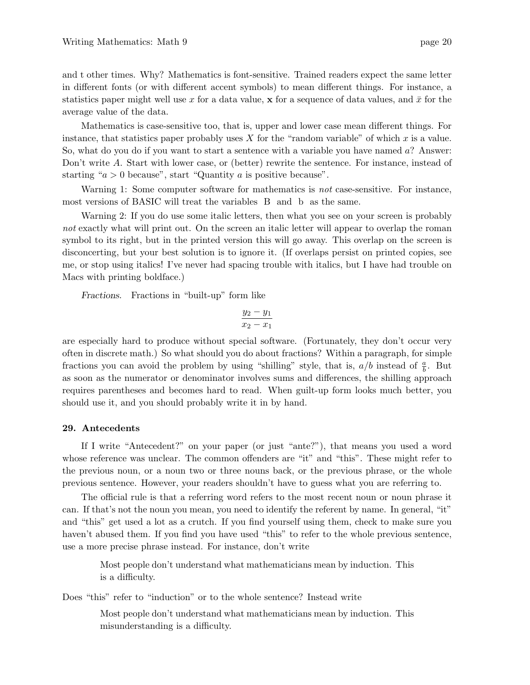and t other times. Why? Mathematics is font-sensitive. Trained readers expect the same letter in different fonts (or with different accent symbols) to mean different things. For instance, a statistics paper might well use  $x$  for a data value, **x** for a sequence of data values, and  $\bar{x}$  for the average value of the data.

Mathematics is case-sensitive too, that is, upper and lower case mean different things. For instance, that statistics paper probably uses *X* for the "random variable" of which *x* is a value. So, what do you do if you want to start a sentence with a variable you have named *a*? Answer: Don't write A. Start with lower case, or (better) rewrite the sentence. For instance, instead of starting " $a > 0$  because", start "Quantity  $a$  is positive because".

Warning 1: Some computer software for mathematics is *not* case-sensitive. For instance, most versions of BASIC will treat the variables B and b as the same.

Warning 2: If you do use some italic letters, then what you see on your screen is probably not exactly what will print out. On the screen an italic letter will appear to overlap the roman symbol to its right, but in the printed version this will go away. This overlap on the screen is disconcerting, but your best solution is to ignore it. (If overlaps persist on printed copies, see me, or stop using italics! I've never had spacing trouble with italics, but I have had trouble on Macs with printing boldface.)

*Fractions*. Fractions in "built-up" form like

$$
\frac{y_2 - y_1}{x_2 - x_1}
$$

are especially hard to produce without special software. (Fortunately, they don't occur very often in discrete math.) So what should you do about fractions? Within a paragraph, for simple fractions you can avoid the problem by using "shilling" style, that is,  $a/b$  instead of  $\frac{a}{b}$ . But as soon as the numerator or denominator involves sums and differences, the shilling approach requires parentheses and becomes hard to read. When guilt-up form looks much better, you should use it, and you should probably write it in by hand.

#### **29. Antecedents**

If I write "Antecedent?" on your paper (or just "ante?"), that means you used a word whose reference was unclear. The common offenders are "it" and "this". These might refer to the previous noun, or a noun two or three nouns back, or the previous phrase, or the whole previous sentence. However, your readers shouldn't have to guess what you are referring to.

The official rule is that a referring word refers to the most recent noun or noun phrase it can. If that's not the noun you mean, you need to identify the referent by name. In general, "it" and "this" get used a lot as a crutch. If you find yourself using them, check to make sure you haven't abused them. If you find you have used "this" to refer to the whole previous sentence, use a more precise phrase instead. For instance, don't write

Most people don't understand what mathematicians mean by induction. This is a difficulty.

Does "this" refer to "induction" or to the whole sentence? Instead write

Most people don't understand what mathematicians mean by induction. This misunderstanding is a difficulty.